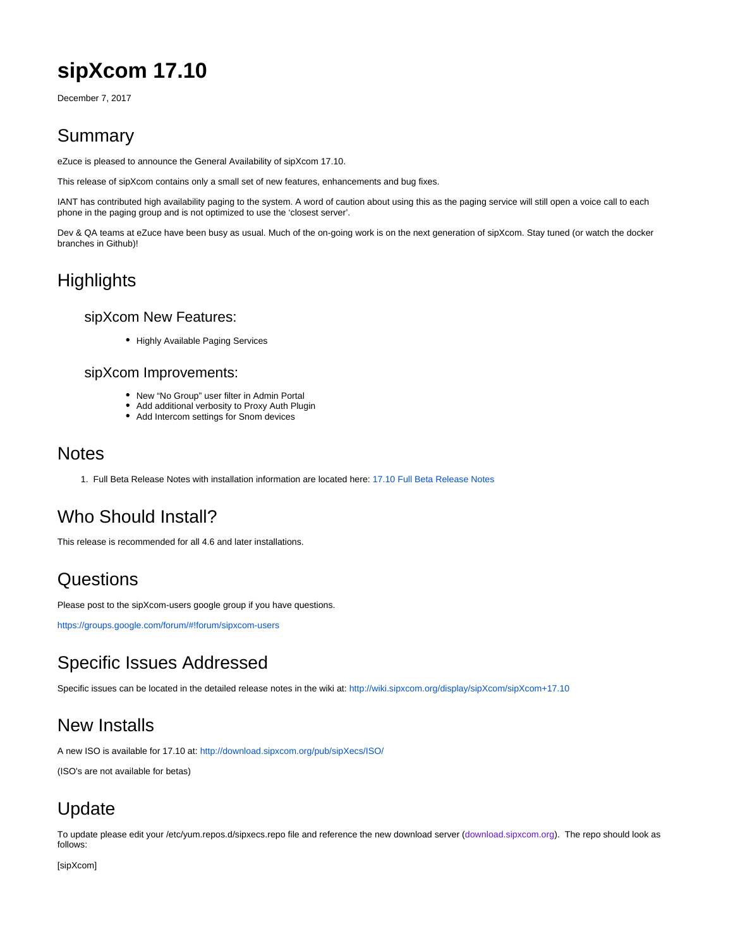# **sipXcom 17.10**

December 7, 2017

### Summary

eZuce is pleased to announce the General Availability of sipXcom 17.10.

This release of sipXcom contains only a small set of new features, enhancements and bug fixes.

IANT has contributed high availability paging to the system. A word of caution about using this as the paging service will still open a voice call to each phone in the paging group and is not optimized to use the 'closest server'.

Dev & QA teams at eZuce have been busy as usual. Much of the on-going work is on the next generation of sipXcom. Stay tuned (or watch the docker branches in Github)!

## **Highlights**

#### sipXcom New Features:

• Highly Available Paging Services

#### sipXcom Improvements:

- New "No Group" user filter in Admin Portal
- Add additional verbosity to Proxy Auth Plugin
- Add Intercom settings for Snom devices

#### **Notes**

1. Full Beta Release Notes with installation information are located here: [17.10 Full Beta Release Notes](http://wiki.sipxcom.org/display/sipXcom/sipXcom+17.10)

### Who Should Install?

This release is recommended for all 4.6 and later installations.

#### **Questions**

Please post to the sipXcom-users google group if you have questions.

<https://groups.google.com/forum/#!forum/sipxcom-users>

#### Specific Issues Addressed

Specific issues can be located in the detailed release notes in the wiki at: <http://wiki.sipxcom.org/display/sipXcom/sipXcom+17.10>

#### New Installs

A new ISO is available for 17.10 at:<http://download.sipxcom.org/pub/sipXecs/ISO/>

(ISO's are not available for betas)

# Update

To update please edit your /etc/yum.repos.d/sipxecs.repo file and reference the new download server ([download.sipxcom.org](http://download.sipxcom.org/)). The repo should look as follows:

[sipXcom]